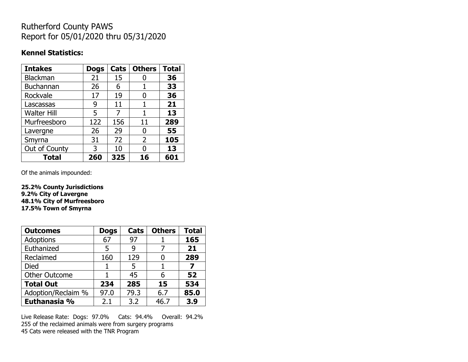## Rutherford County PAWS Report for 05/01/2020 thru 05/31/2020

#### **Kennel Statistics:**

| <b>Intakes</b>     | <b>Dogs</b> | Cats | <b>Others</b>  | <b>Total</b> |
|--------------------|-------------|------|----------------|--------------|
| <b>Blackman</b>    | 21          | 15   |                | 36           |
| <b>Buchannan</b>   | 26          | 6    |                | 33           |
| Rockvale           | 17          | 19   | O              | 36           |
| Lascassas          | 9           | 11   | 1              | 21           |
| <b>Walter Hill</b> | 5           | 7    | 1              | 13           |
| Murfreesboro       | 122         | 156  | 11             | 289          |
| Lavergne           | 26          | 29   | 0              | 55           |
| Smyrna             | 31          | 72   | $\overline{2}$ | 105          |
| Out of County      | 3           | 10   | N              | 13           |
| <b>Total</b>       | 260         | 325  | 16             | 601          |

Of the animals impounded:

**25.2% County Jurisdictions 9.2% City of Lavergne 48.1% City of Murfreesboro 17.5% Town of Smyrna**

| <b>Outcomes</b>      | <b>Dogs</b> | Cats | <b>Others</b> | <b>Total</b> |
|----------------------|-------------|------|---------------|--------------|
| Adoptions            | 67          | 97   |               | 165          |
| Euthanized           | 5           | 9    |               | 21           |
| Reclaimed            | 160         | 129  |               | 289          |
| <b>Died</b>          |             | 5    |               |              |
| <b>Other Outcome</b> |             | 45   | 6             | 52           |
| <b>Total Out</b>     | 234         | 285  | 15            | 534          |
| Adoption/Reclaim %   | 97.0        | 79.3 | 6.7           | 85.0         |
| Euthanasia %         | 2.1         | 3.2  | 46.7          | 3.9          |

Live Release Rate: Dogs: 97.0% Cats: 94.4% Overall: 94.2% 255 of the reclaimed animals were from surgery programs 45 Cats were released with the TNR Program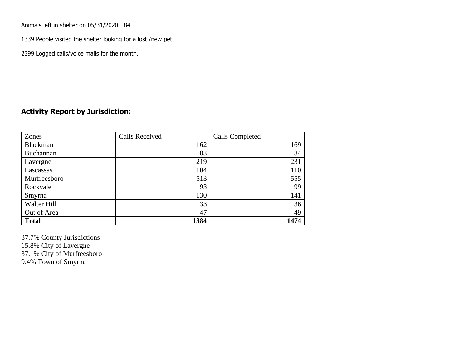Animals left in shelter on 05/31/2020: 84

1339 People visited the shelter looking for a lost /new pet.

2399 Logged calls/voice mails for the month.

### **Activity Report by Jurisdiction:**

| Zones           | <b>Calls Received</b> | Calls Completed |
|-----------------|-----------------------|-----------------|
| <b>Blackman</b> | 162                   | 169             |
| Buchannan       | 83                    | 84              |
| Lavergne        | 219                   | 231             |
| Lascassas       | 104                   | 110             |
| Murfreesboro    | 513                   | 555             |
| Rockvale        | 93                    | 99              |
| Smyrna          | 130                   | 141             |
| Walter Hill     | 33                    | 36              |
| Out of Area     | 47                    | 49              |
| <b>Total</b>    | 1384                  | 1474            |

37.7% County Jurisdictions 15.8% City of Lavergne 37.1% City of Murfreesboro 9.4% Town of Smyrna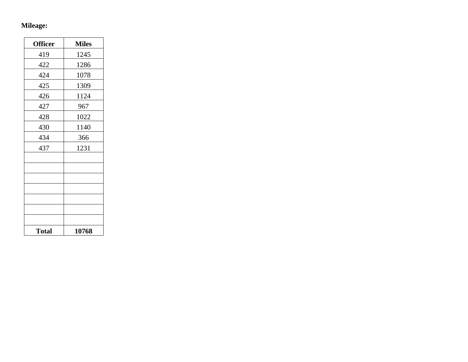# **Mileage:**

| <b>Officer</b> | <b>Miles</b> |
|----------------|--------------|
| 419            | 1245         |
| 422            | 1286         |
| 424            | 1078         |
| 425            | 1309         |
| 426            | 1124         |
| 427            | 967          |
| 428            | 1022         |
| 430            | 1140         |
| 434            | 366          |
| 437            | 1231         |
|                |              |
|                |              |
|                |              |
|                |              |
|                |              |
|                |              |
|                |              |
| <b>Total</b>   | 10768        |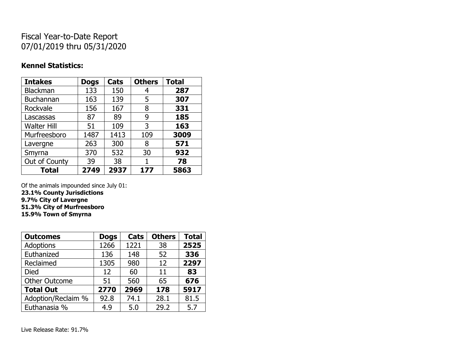## Fiscal Year-to-Date Report 07/01/2019 thru 05/31/2020

### **Kennel Statistics:**

| <b>Intakes</b>     | <b>Dogs</b> | Cats | <b>Others</b> | <b>Total</b> |
|--------------------|-------------|------|---------------|--------------|
| Blackman           | 133         | 150  | 4             | 287          |
| <b>Buchannan</b>   | 163         | 139  | 5             | 307          |
| Rockvale           | 156         | 167  | 8             | 331          |
| Lascassas          | 87          | 89   | 9             | 185          |
| <b>Walter Hill</b> | 51          | 109  | 3             | 163          |
| Murfreesboro       | 1487        | 1413 | 109           | 3009         |
| Lavergne           | 263         | 300  | 8             | 571          |
| Smyrna             | 370         | 532  | 30            | 932          |
| Out of County      | 39          | 38   |               | 78           |
| <b>Total</b>       | 2749        | 2937 | 177           | 5863         |

Of the animals impounded since July 01:

**23.1% County Jurisdictions 9.7% City of Lavergne**

**51.3% City of Murfreesboro**

**15.9% Town of Smyrna**

| <b>Outcomes</b>      | <b>Dogs</b> | Cats | <b>Others</b> | <b>Total</b> |
|----------------------|-------------|------|---------------|--------------|
| <b>Adoptions</b>     | 1266        | 1221 | 38            | 2525         |
| Euthanized           | 136         | 148  | 52            | 336          |
| Reclaimed            | 1305        | 980  | 12            | 2297         |
| <b>Died</b>          | 12          | 60   | 11            | 83           |
| <b>Other Outcome</b> | 51          | 560  | 65            | 676          |
| <b>Total Out</b>     | 2770        | 2969 | 178           | 5917         |
| Adoption/Reclaim %   | 92.8        | 74.1 | 28.1          | 81.5         |
| Euthanasia %         | 4.9         | 5.0  | 29.2          | 5.7          |

Live Release Rate: 91.7%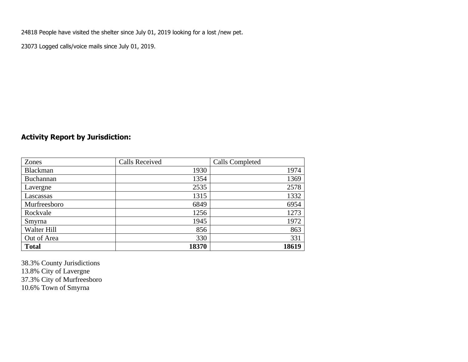24818 People have visited the shelter since July 01, 2019 looking for a lost /new pet.

23073 Logged calls/voice mails since July 01, 2019.

### **Activity Report by Jurisdiction:**

| Zones           | <b>Calls Received</b> | Calls Completed |
|-----------------|-----------------------|-----------------|
| <b>Blackman</b> | 1930                  | 1974            |
| Buchannan       | 1354                  | 1369            |
| Lavergne        | 2535                  | 2578            |
| Lascassas       | 1315                  | 1332            |
| Murfreesboro    | 6849                  | 6954            |
| Rockvale        | 1256                  | 1273            |
| Smyrna          | 1945                  | 1972            |
| Walter Hill     | 856                   | 863             |
| Out of Area     | 330                   | 331             |
| <b>Total</b>    | 18370                 | 18619           |

38.3% County Jurisdictions 13.8% City of Lavergne 37.3% City of Murfreesboro 10.6% Town of Smyrna